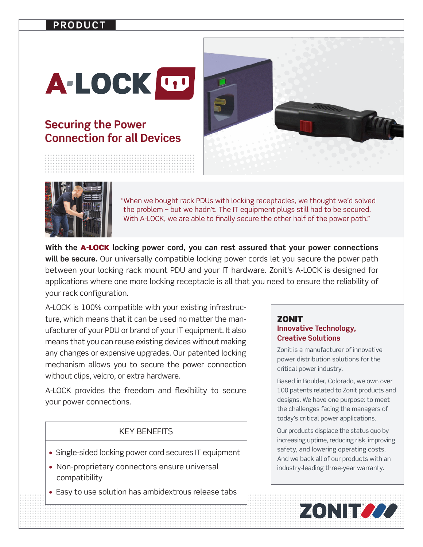### **PRODUCT**

# A-LOCK UP

## **Securing the Power Connection for all Devices**





"When we bought rack PDUs with locking receptacles, we thought we'd solved the problem – but we hadn't. The IT equipment plugs still had to be secured. With A-LOCK, we are able to finally secure the other half of the power path."

**With the** A-LOCK **locking power cord, you can rest assured that your power connections**  will be secure. Our universally compatible locking power cords let you secure the power path between your locking rack mount PDU and your IT hardware. Zonit's A-LOCK is designed for applications where one more locking receptacle is all that you need to ensure the reliability of your rack configuration.

A-LOCK is 100% compatible with your existing infrastructure, which means that it can be used no matter the manufacturer of your PDU or brand of your IT equipment. It also means that you can reuse existing devices without making any changes or expensive upgrades. Our patented locking mechanism allows you to secure the power connection without clips, velcro, or extra hardware.

A-LOCK provides the freedom and flexibility to secure your power connections.

#### KEY BENEFITS

- Single-sided locking power cord secures IT equipment
- Non-proprietary connectors ensure universal compatibility
- Easy to use solution has ambidextrous release tabs

#### **ZONIT Innovative Technology, Creative Solutions**

Zonit is a manufacturer of innovative power distribution solutions for the critical power industry.

Based in Boulder, Colorado, we own over 100 patents related to Zonit products and designs. We have one purpose: to meet the challenges facing the managers of today's critical power applications.

Our products displace the status quo by increasing uptime, reducing risk, improving safety, and lowering operating costs. And we back all of our products with an industry-leading three-year warranty.